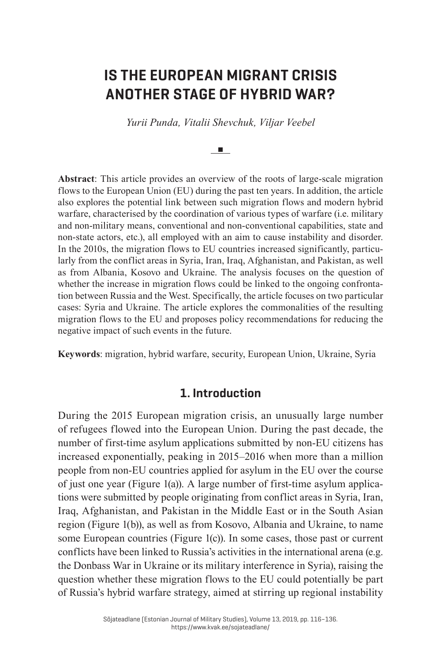# **IS THE EUROPEAN MIGRANT CRISIS ANOTHER STAGE OF HYBRID WAR?**

*Yurii Punda, Vitalii Shevchuk, Viljar Veebel*

**Contract** 

**Abstract**: This article provides an overview of the roots of large-scale migration flows to the European Union (EU) during the past ten years. In addition, the article also explores the potential link between such migration flows and modern hybrid warfare, characterised by the coordination of various types of warfare (i.e. military and non-military means, conventional and non-conventional capabilities, state and non-state actors, etc.), all employed with an aim to cause instability and disorder. In the 2010s, the migration flows to EU countries increased significantly, particularly from the conflict areas in Syria, Iran, Iraq, Afghanistan, and Pakistan, as well as from Albania, Kosovo and Ukraine. The analysis focuses on the question of whether the increase in migration flows could be linked to the ongoing confrontation between Russia and the West. Specifically, the article focuses on two particular cases: Syria and Ukraine. The article explores the commonalities of the resulting migration flows to the EU and proposes policy recommendations for reducing the negative impact of such events in the future.

**Keywords**: migration, hybrid warfare, security, European Union, Ukraine, Syria

### **1. Introduction**

During the 2015 European migration crisis, an unusually large number of refugees flowed into the European Union. During the past decade, the number of first-time asylum applications submitted by non-EU citizens has increased exponentially, peaking in 2015–2016 when more than a million people from non-EU countries applied for asylum in the EU over the course of just one year (Figure 1(a)). A large number of first-time asylum applications were submitted by people originating from conflict areas in Syria, Iran, Iraq, Afghanistan, and Pakistan in the Middle East or in the South Asian region (Figure 1(b)), as well as from Kosovo, Albania and Ukraine, to name some European countries (Figure 1(c)). In some cases, those past or current conflicts have been linked to Russia's activities in the international arena (e.g. the Donbass War in Ukraine or its military interference in Syria), raising the question whether these migration flows to the EU could potentially be part of Russia's hybrid warfare strategy, aimed at stirring up regional instability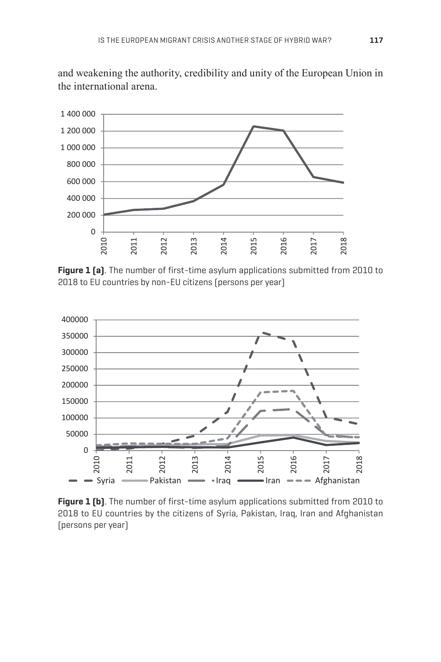and weakening the authority, credibility and unity of the European Union in the international arena.



**Figure 1 (a)**. The number of first-time asylum applications submitted from 2010 to 2018 to EU countries by non-EU citizens (persons per year)



**Figure 1 (b)**. The number of first-time asylum applications submitted from 2010 to 2018 to EU countries by the citizens of Syria, Pakistan, Iraq, Iran and Afghanistan (persons per year)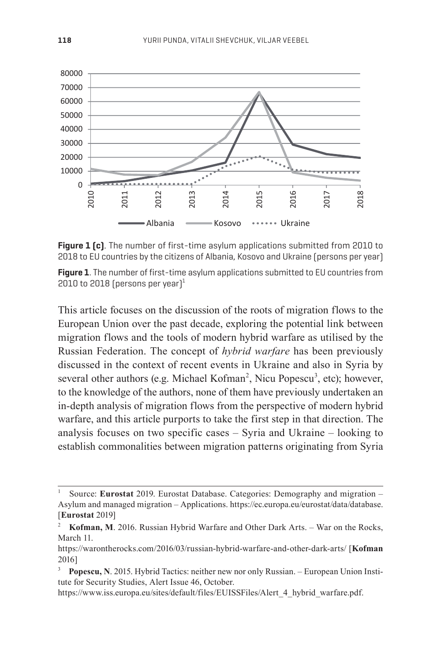

**Figure 1 (c)**. The number of first-time asylum applications submitted from 2010 to 2018 to EU countries by the citizens of Albania, Kosovo and Ukraine (persons per year)

**Figure 1**. The number of first-time asylum applications submitted to EU countries from 2010 to 2018 (persons per year) $^1$ 

This article focuses on the discussion of the roots of migration flows to the European Union over the past decade, exploring the potential link between migration flows and the tools of modern hybrid warfare as utilised by the Russian Federation. The concept of *hybrid warfare* has been previously discussed in the context of recent events in Ukraine and also in Syria by several other authors (e.g. Michael Kofman<sup>2</sup>, Nicu Popescu<sup>3</sup>, etc); however, to the knowledge of the authors, none of them have previously undertaken an in-depth analysis of migration flows from the perspective of modern hybrid warfare, and this article purports to take the first step in that direction. The analysis focuses on two specific cases – Syria and Ukraine – looking to establish commonalities between migration patterns originating from Syria

<sup>1</sup> Source: **Eurostat** 2019. Eurostat Database. Categories: Demography and migration – Asylum and managed migration – Applications. https://ec.europa.eu/eurostat/data/database. [**Eurostat** 2019]

<sup>2</sup>**Kofman, M**. 2016. Russian Hybrid Warfare and Other Dark Arts. – War on the Rocks, March 11.

https://warontherocks.com/2016/03/russian-hybrid-warfare-and-other-dark-arts/ [**Kofman**  2016]

<sup>3</sup> **Popescu, N**. 2015. Hybrid Tactics: neither new nor only Russian. – European Union Institute for Security Studies, Alert Issue 46, October.

https://www.iss.europa.eu/sites/default/files/EUISSFiles/Alert\_4\_hybrid\_warfare.pdf.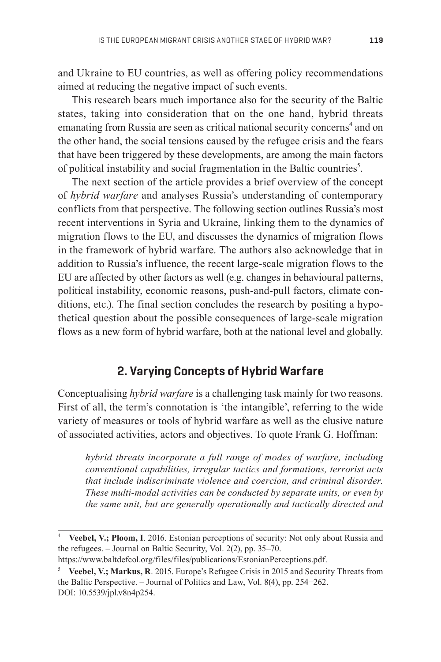and Ukraine to EU countries, as well as offering policy recommendations aimed at reducing the negative impact of such events.

This research bears much importance also for the security of the Baltic states, taking into consideration that on the one hand, hybrid threats emanating from Russia are seen as critical national security concerns<sup>4</sup> and on the other hand, the social tensions caused by the refugee crisis and the fears that have been triggered by these developments, are among the main factors of political instability and social fragmentation in the Baltic countries<sup>5</sup>.

The next section of the article provides a brief overview of the concept of *hybrid warfare* and analyses Russia's understanding of contemporary conflicts from that perspective. The following section outlines Russia's most recent inter ventions in Syria and Ukraine, linking them to the dynamics of migration flows to the EU, and discusses the dynamics of migration flows in the framework of hybrid warfare. The authors also acknowledge that in addition to Russia's influence, the recent large-scale migration flows to the EU are affected by other factors as well (e.g. changes in behavioural patterns, political instability, economic reasons, push-and-pull factors, climate conditions, etc.). The final section concludes the research by positing a hypothetical question about the possible consequences of large-scale migration flows as a new form of hybrid warfare, both at the national level and globally.

### **2. Varying Concepts of Hybrid Warfare**

Conceptualising *hybrid warfare* is a challenging task mainly for two reasons. First of all, the term's connotation is 'the intangible', referring to the wide variety of measures or tools of hybrid warfare as well as the elusive nature of associated activities, actors and objectives. To quote Frank G. Hoffman:

*hybrid threats incorporate a full range of modes of warfare, including conventional capabilities, irregular tactics and formations, terrorist acts that include indiscriminate violence and coercion, and criminal disorder. These multi-modal activities can be conducted by separate units, or even by the same unit, but are generally operationally and tactically directed and* 

<sup>4</sup>**Veebel, V.; Ploom, I**. 2016. Estonian perceptions of security: Not only about Russia and the refugees. – Journal on Baltic Security, Vol. 2(2), pp. 35–70.

https://www.baltdefcol.org/files/files/publications/EstonianPerceptions.pdf.

<sup>&</sup>lt;sup>5</sup> Veebel, V.; Markus, R. 2015. Europe's Refugee Crisis in 2015 and Security Threats from the Baltic Perspective. – Journal of Politics and Law, Vol. 8(4), pp. 254−262. DOI: 10.5539/jpl.v8n4p254.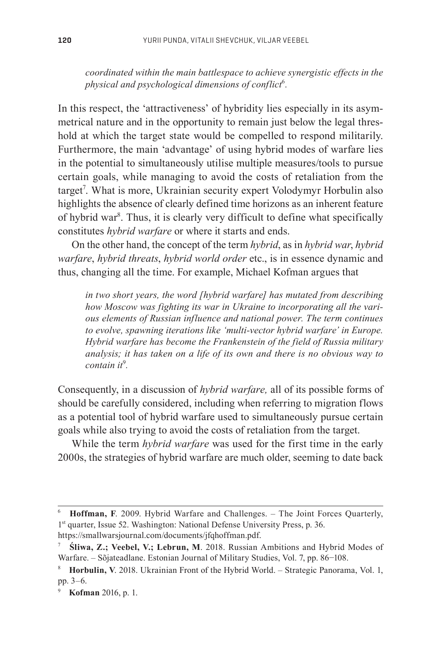*coordinated within the main battlespace to achieve synergistic effects in the physical and psychological dimensions of conflict*<sup>6</sup> *.*

In this respect, the 'attractiveness' of hybridity lies especially in its asymmetrical nature and in the opportunity to remain just below the legal threshold at which the target state would be compelled to respond militarily. Furthermore, the main 'advantage' of using hybrid modes of warfare lies in the potential to simultaneously utilise multiple measures/tools to pursue certain goals, while managing to avoid the costs of retaliation from the target<sup>7</sup>. What is more, Ukrainian security expert Volodymyr Horbulin also highlights the absence of clearly defined time horizons as an inherent feature of hybrid war<sup>8</sup>. Thus, it is clearly very difficult to define what specifically constitutes *hybrid warfare* or where it starts and ends.

On the other hand, the concept of the term *hybrid*, as in *hybrid war*, *hybrid warfare*, *hybrid threats*, *hybrid world order* etc., is in essence dynamic and thus, changing all the time. For example, Michael Kofman argues that

*in two short years, the word [hybrid warfare] has mutated from describing how Moscow was fighting its war in Ukraine to incorporating all the various elements of Russian influence and national power. The term continues to evolve, spawning iterations like 'multi-vector hybrid warfare' in Europe. Hybrid warfare has become the Frankenstein of the field of Russia military analysis; it has taken on a life of its own and there is no obvious way to contain it*<sup>9</sup> *.*

Consequently, in a discussion of *hybrid warfare,* all of its possible forms of should be carefully considered, including when referring to migration flows as a potential tool of hybrid warfare used to simultaneously pursue certain goals while also trying to avoid the costs of retaliation from the target.

While the term *hybrid warfare* was used for the first time in the early 2000s, the strategies of hybrid warfare are much older, seeming to date back

Hoffman, F. 2009. Hybrid Warfare and Challenges. - The Joint Forces Quarterly, 1<sup>st</sup> quarter, Issue 52. Washington: National Defense University Press, p. 36. https://smallwarsjournal.com/documents/jfqhoffman.pdf.

<sup>7</sup>**Śliwa, Z.; Veebel, V.; Lebrun, M**. 2018. Russian Ambitions and Hybrid Modes of Warfare. – Sõjateadlane. Estonian Journal of Military Studies, Vol. 7, pp. 86−108.

<sup>8</sup>**Horbulin, V**. 2018. Ukrainian Front of the Hybrid World. – Strategic Panorama, Vol. 1, pp. 3–6.

<sup>9</sup> **Kofman** 2016, p. 1.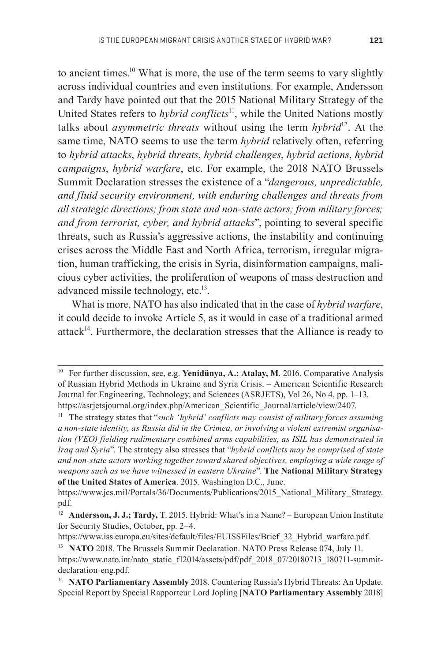to ancient times.<sup>10</sup> What is more, the use of the term seems to vary slightly across individual countries and even institutions. For example, Andersson and Tardy have pointed out that the 2015 National Military Strategy of the United States refers to *hybrid conflicts*11, while the United Nations mostly talks about *asymmetric threats* without using the term *hybrid*12. At the same time, NATO seems to use the term *hybrid* relatively often, referring to *hybrid attacks*, *hybrid threats*, *hybrid challenges*, *hybrid actions*, *hybrid campaigns*, *hybrid warfare*, etc. For example, the 2018 NATO Brussels Summit Declaration stresses the existence of a "*dangerous, unpredictable, and fluid security environment, with enduring challenges and threats from all strategic directions; from state and non-state actors; from military forces; and from terrorist, cyber, and hybrid attacks*", pointing to several specific threats, such as Russia's aggressive actions, the instability and continuing crises across the Middle East and North Africa, terrorism, irregular migration, human trafficking, the crisis in Syria, disinformation campaigns, malicious cyber activities, the proliferation of weapons of mass destruction and advanced missile technology, etc.<sup>13</sup>.

What is more, NATO has also indicated that in the case of *hybrid warfare*, it could decide to invoke Article 5, as it would in case of a traditional armed  $attack<sup>14</sup>$ . Furthermore, the declaration stresses that the Alliance is ready to

<sup>&</sup>lt;sup>10</sup> For further discussion, see, e.g. **Yenidünya, A.; Atalay, M**. 2016. Comparative Analysis of Russian Hybrid Methods in Ukraine and Syria Crisis. – American Scientific Research Journal for Engineering, Technology, and Sciences (ASRJETS), Vol 26, No 4, pp. 1–13. https://asrjetsjournal.org/index.php/American\_Scientific\_Journal/article/view/2407.

<sup>11</sup> The strategy states that "*such 'hybrid' conflicts may consist of military forces assuming a non-state identity, as Russia did in the Crimea, or involving a violent extremist organisation (VEO) fielding rudimentary combined arms capabilities, as ISIL has demonstrated in Iraq and Syria*". The strategy also stresses that "*hybrid conflicts may be comprised of state and non-state actors working together toward shared objectives, employing a wide range of weapons such as we have witnessed in eastern Ukraine*". **The National Military Strategy of the United States of America**. 2015. Washington D.C., June.

https://www.jcs.mil/Portals/36/Documents/Publications/2015\_National\_Military\_Strategy. pdf.

<sup>&</sup>lt;sup>12</sup> Andersson, J. J.; Tardy, T. 2015. Hybrid: What's in a Name? – European Union Institute for Security Studies, October, pp. 2–4.

https://www.iss.europa.eu/sites/default/files/EUISSFiles/Brief\_32\_Hybrid\_warfare.pdf.

<sup>&</sup>lt;sup>13</sup> NATO 2018. The Brussels Summit Declaration. NATO Press Release 074, July 11. https://www.nato.int/nato\_static\_fl2014/assets/pdf/pdf\_2018\_07/20180713\_180711-summitdeclaration-eng.pdf.

<sup>&</sup>lt;sup>14</sup> NATO Parliamentary Assembly 2018. Countering Russia's Hybrid Threats: An Update. Special Report by Special Rapporteur Lord Jopling [**NATO Parliamentary Assembly** 2018]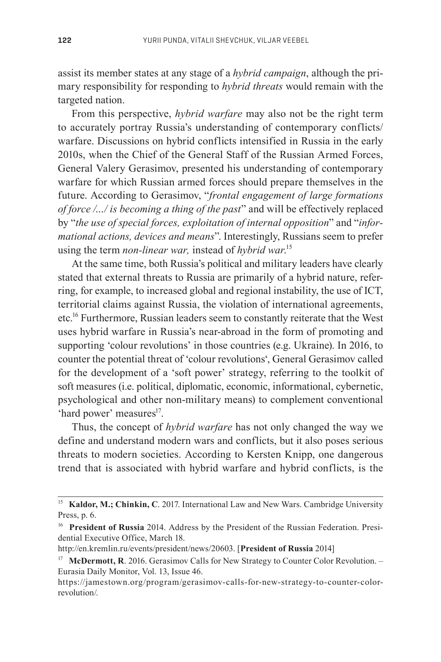assist its member states at any stage of a *hybrid campaign*, although the primary responsibility for responding to *hybrid threats* would remain with the targeted nation.

From this perspective, *hybrid warfare* may also not be the right term to accurately portray Russia's understanding of contemporary conflicts/ warfare. Discussions on hybrid conflicts intensified in Russia in the early 2010s, when the Chief of the General Staff of the Russian Armed Forces, General Valery Gerasimov, presented his understanding of contemporary warfare for which Russian armed forces should prepare themselves in the future. According to Gerasimov, "*frontal engagement of large formations of force /…/ is becoming a thing of the past*" and will be effectively replaced by "*the use of special forces, exploitation of internal opposition*" and "*informational actions, devices and means*". Interestingly, Russians seem to prefer using the term *non-linear war,* instead of *hybrid war*. 15

At the same time, both Russia's political and military leaders have clearly stated that external threats to Russia are primarily of a hybrid nature, referring, for example, to increased global and regional instability, the use of ICT, territorial claims against Russia, the violation of international agreements, etc.16 Furthermore, Russian leaders seem to constantly reiterate that the West uses hybrid warfare in Russia's near-abroad in the form of promoting and supporting 'colour revolutions' in those countries (e.g. Ukraine). In 2016, to counter the potential threat of 'colour revolutions', General Gerasimov called for the development of a 'soft power' strategy, referring to the toolkit of soft measures (i.e. political, diplomatic, economic, informational, cybernetic, psychological and other non-military means) to complement conventional 'hard power' measures<sup>17</sup>.

Thus, the concept of *hybrid warfare* has not only changed the way we define and understand modern wars and conflicts, but it also poses serious threats to modern societies. According to Kersten Knipp, one dangerous trend that is associated with hybrid warfare and hybrid conflicts, is the

<sup>&</sup>lt;sup>15</sup> Kaldor, M.; Chinkin, C. 2017. International Law and New Wars. Cambridge University Press, p. 6.

<sup>&</sup>lt;sup>16</sup> **President of Russia** 2014. Address by the President of the Russian Federation. Presidential Executive Office, March 18.

http://en.kremlin.ru/events/president/news/20603. [**President of Russia** 2014]

<sup>&</sup>lt;sup>17</sup> McDermott, R. 2016. Gerasimov Calls for New Strategy to Counter Color Revolution. – Eurasia Daily Monitor, Vol. 13, Issue 46.

https://jamestown.org/program/gerasimov-calls-for-new-strategy-to-counter-colorrevolution/.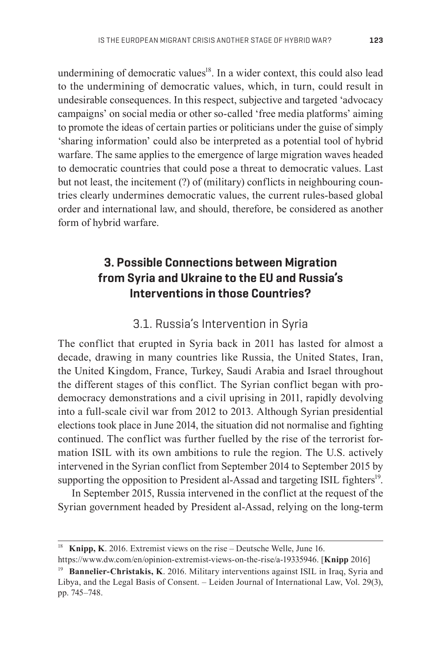undermining of democratic values<sup>18</sup>. In a wider context, this could also lead to the undermining of democratic values, which, in turn, could result in undesirable consequences. In this respect, subjective and targeted 'advocacy campaigns' on social media or other so-called 'free media platforms' aiming to promote the ideas of certain parties or politicians under the guise of simply 'sharing information' could also be interpreted as a potential tool of hybrid warfare. The same applies to the emergence of large migration waves headed to democratic countries that could pose a threat to democratic values. Last but not least, the incitement (?) of (military) conflicts in neighbouring countries clearly undermines democratic values, the current rules-based global order and international law, and should, therefore, be considered as another form of hybrid warfare.

## **3. Possible Connections between Migration from Syria and Ukraine to the EU and Russia's Interventions in those Countries?**

### 3.1. Russia's Intervention in Syria

The conflict that erupted in Syria back in 2011 has lasted for almost a decade, drawing in many countries like Russia, the United States, Iran, the United Kingdom, France, Turkey, Saudi Arabia and Israel throughout the dif ferent stages of this conflict. The Syrian conflict began with prodemocracy demonstrations and a civil uprising in 2011, rapidly devolving into a full-scale civil war from 2012 to 2013. Although Syrian presidential elections took place in June 2014, the situation did not normalise and fighting continued. The conflict was further fuelled by the rise of the terrorist formation ISIL with its own ambitions to rule the region. The U.S. actively intervened in the Syrian conflict from September 2014 to September 2015 by supporting the opposition to President al-Assad and targeting ISIL fighters<sup>19</sup>.

In September 2015, Russia intervened in the conflict at the request of the Syrian government headed by President al-Assad, relying on the long-term

<sup>&</sup>lt;sup>18</sup> Knipp, K. 2016. Extremist views on the rise – Deutsche Welle, June 16.

https://www.dw.com/en/opinion-extremist-views-on-the-rise/a-19335946. [**Knipp** 2016]

<sup>&</sup>lt;sup>19</sup> Bannelier-Christakis, K. 2016. Military interventions against ISIL in Iraq, Syria and Libya, and the Legal Basis of Consent. – Leiden Journal of International Law, Vol. 29(3), pp. 745–748.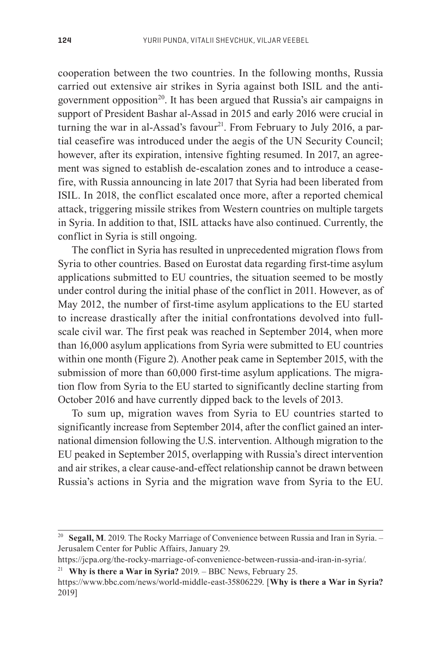cooperation between the two countries. In the following months, Russia carried out extensive air strikes in Syria against both ISIL and the antigovernment opposition<sup>20</sup>. It has been argued that Russia's air campaigns in support of President Bashar al-Assad in 2015 and early 2016 were crucial in turning the war in al-Assad's favour<sup>21</sup>. From February to July 2016, a partial ceasefire was introduced under the aegis of the UN Security Council; however, after its expiration, intensive fighting resumed. In 2017, an agreement was signed to establish de-escalation zones and to introduce a ceasefire, with Russia announcing in late 2017 that Syria had been liberated from ISIL. In 2018, the conflict escalated once more, after a reported chemical attack, triggering missile strikes from Western countries on multiple targets in Syria. In addition to that, ISIL attacks have also continued. Currently, the conflict in Syria is still ongoing.

The conflict in Syria has resulted in unprecedented migration flows from Syria to other countries. Based on Eurostat data regarding first-time asylum applications submitted to EU countries, the situation seemed to be mostly under control during the initial phase of the conflict in 2011. However, as of May 2012, the number of first-time asylum applications to the EU started to increase drastically after the initial confrontations devolved into fullscale civil war. The first peak was reached in September 2014, when more than 16,000 asylum applications from Syria were submitted to EU countries within one month (Figure 2). Another peak came in September 2015, with the submission of more than 60,000 first-time asylum applications. The migration flow from Syria to the EU started to significantly decline starting from October 2016 and have currently dipped back to the levels of 2013.

To sum up, migration waves from Syria to EU countries started to significantly increase from September 2014, after the conflict gained an international dimension following the U.S. intervention. Although migration to the EU peaked in September 2015, overlapping with Russia's direct intervention and air strikes, a clear cause-and-effect relationship cannot be drawn between Russia's actions in Syria and the migration wave from Syria to the EU.

https://jcpa.org/the-rocky-marriage-of-convenience-between-russia-and-iran-in-syria/.

<sup>&</sup>lt;sup>20</sup> Segall, M. 2019. The Rocky Marriage of Convenience between Russia and Iran in Syria. -Jerusalem Center for Public Affairs, January 29.

<sup>21</sup>**Why is there a War in Syria?** 2019. – BBC News, February 25.

https://www.bbc.com/news/world-middle-east-35806229. [**Why is there a War in Syria?** 2019]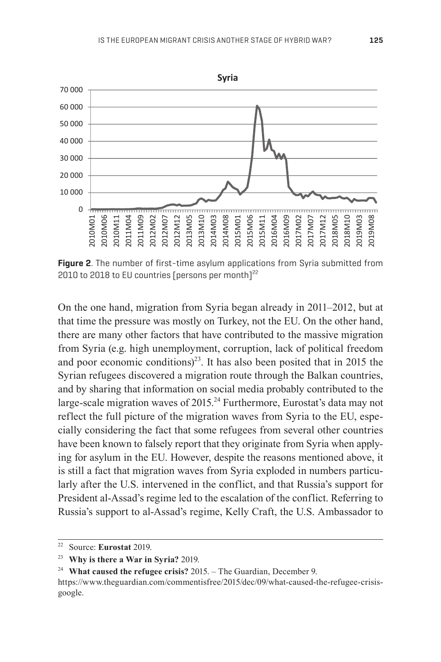

**Figure 2**. The number of first-time asylum applications from Syria submitted from 2010 to 2018 to EU countries [persons per month]<sup>22</sup>

On the one hand, migration from Syria began already in 2011–2012, but at that time the pressure was mostly on Turkey, not the EU. On the other hand, there are many other factors that have contributed to the massive migration from Syria (e.g. high unemployment, corruption, lack of political freedom and poor economic conditions)<sup>23</sup>. It has also been posited that in 2015 the Syrian refugees discovered a migration route through the Balkan countries, and by sharing that information on social media probably contributed to the large-scale migration waves of 2015.<sup>24</sup> Furthermore, Eurostat's data may not reflect the full picture of the migration waves from Syria to the EU, especially considering the fact that some refugees from several other countries have been known to falsely report that they originate from Syria when applying for asylum in the EU. However, despite the reasons mentioned above, it is still a fact that migration waves from Syria exploded in numbers particularly after the U.S. intervened in the conflict, and that Russia's support for President al-Assad's regime led to the escalation of the conflict. Referring to Russia's support to al-Assad's regime, Kelly Craft, the U.S. Ambassador to

<sup>22</sup> Source: **Eurostat** 2019.

<sup>23</sup>**Why is there a War in Syria?** 2019.

<sup>24</sup>**What caused the refugee crisis?** 2015. – The Guardian, December 9.

https://www.theguardian.com/commentisfree/2015/dec/09/what-caused-the-refugee-crisisgoogle.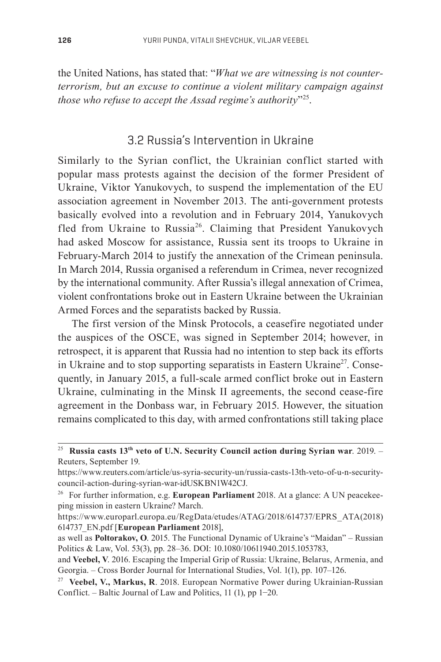the United Nations, has stated that: "*What we are witnessing is not counterterrorism, but an excuse to continue a violent military campaign against those who refuse to accept the Assad regime's authority*"25.

### 3.2 Russia's Intervention in Ukraine

Similarly to the Syrian conflict, the Ukrainian conflict started with popular mass protests against the decision of the former President of Ukraine, Viktor Yanukovych, to suspend the implementation of the EU association agreement in November 2013. The anti-government protests basically evolved into a revolution and in February 2014, Yanukovych fled from Ukraine to Russia<sup>26</sup>. Claiming that President Yanukovych had asked Moscow for assistance, Russia sent its troops to Ukraine in February-March 2014 to justify the annexation of the Crimean peninsula. In March 2014, Russia organised a referendum in Crimea, never recognized by the international community. After Russia's illegal annexation of Crimea, violent confrontations broke out in Eastern Ukraine between the Ukrainian Armed Forces and the separatists backed by Russia.

The first version of the Minsk Protocols, a ceasefire negotiated under the auspices of the OSCE, was signed in September 2014; however, in retrospect, it is apparent that Russia had no intention to step back its efforts in Ukraine and to stop supporting separatists in Eastern Ukraine<sup>27</sup>. Consequently, in January 2015, a full-scale armed conflict broke out in Eastern Ukraine, culminating in the Minsk II agreements, the second cease-fire agreement in the Donbass war, in February 2015. However, the situation remains complicated to this day, with armed confrontations still taking place

<sup>25</sup>**Russia casts 13th veto of U.N. Security Council action during Syrian war**. 2019. – Reuters, September 19.

https://www.reuters.com/article/us-syria-security-un/russia-casts-13th-veto-of-u-n-securitycouncil-action-during-syrian-war-idUSKBN1W42CJ.

<sup>26</sup> For further information, e.g. **European Parliament** 2018. At a glance: A UN peacekeeping mission in eastern Ukraine? March.

https://www.europarl.europa.eu/RegData/etudes/ATAG/2018/614737/EPRS\_ATA(2018) 614737\_EN.pdf [**European Parliament** 2018],

as well as **Poltorakov, O**. 2015. The Functional Dynamic of Ukraine's "Maidan" – Russian Politics & Law, Vol. 53(3), pp. 28–36. DOI: 10.1080/10611940.2015.1053783,

and **Veebel, V**. 2016. Escaping the Imperial Grip of Russia: Ukraine, Belarus, Armenia, and Georgia. – Cross Border Journal for International Studies, Vol. 1(1), pp. 107–126.

<sup>27</sup>**Veebel, V., Markus, R**. 2018. European Normative Power during Ukrainian-Russian Conflict. – Baltic Journal of Law and Politics, 11 (1), pp 1−20.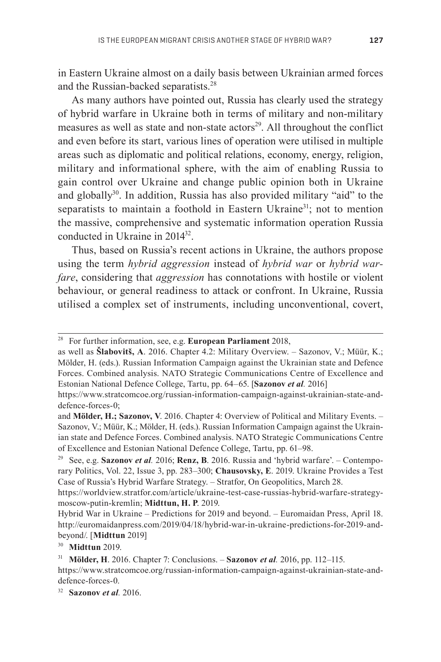in Eastern Ukraine almost on a daily basis between Ukrainian armed forces and the Russian-backed separatists.<sup>28</sup>

As many authors have pointed out, Russia has clearly used the strategy of hybrid warfare in Ukraine both in terms of military and non-military measures as well as state and non-state actors $2^9$ . All throughout the conflict and even before its start, various lines of operation were utilised in multiple areas such as diplomatic and political relations, economy, energy, religion, military and informational sphere, with the aim of enabling Russia to gain control over Ukraine and change public opinion both in Ukraine and globally<sup>30</sup>. In addition, Russia has also provided military "aid" to the separatists to maintain a foothold in Eastern Ukraine<sup>31</sup>; not to mention the massive, comprehensive and systematic information operation Russia conducted in Ukraine in 201432.

Thus, based on Russia's recent actions in Ukraine, the authors propose using the term *hybrid aggression* instead of *hybrid war* or *hybrid warfare*, considering that *aggression* has connotations with hostile or violent behaviour, or general readiness to attack or confront. In Ukraine, Russia utilised a complex set of instruments, including unconventional, covert,

<sup>28</sup> For further information, see, e.g. **European Parliament** 2018,

as well as **Šlabovitš, A**. 2016. Chapter 4.2: Military Overview. – Sazonov, V.; Müür, K.; Mölder, H. (eds.). Russian Information Campaign against the Ukrainian state and Defence Forces. Combined analysis. NATO Strategic Communications Centre of Excellence and Estonian National Defence College, Tartu, pp. 64–65. [**Sazonov** *et al.* 2016]

https://www.stratcomcoe.org/russian-information-campaign-against-ukrainian-state-anddefence-forces-0;

and **Mölder, H.; Sazonov, V**. 2016. Chapter 4: Overview of Political and Military Events. – Sazonov, V.; Müür, K.; Mölder, H. (eds.). Russian Information Campaign against the Ukrainian state and Defence Forces. Combined analysis. NATO Strategic Communications Centre of Excellence and Estonian National Defence College, Tartu, pp. 61–98.

<sup>29</sup> See, e.g. **Sazonov** *et al.* 2016; **Renz, B**. 2016. Russia and 'hybrid warfare'. – Contemporary Politics, Vol. 22, Issue 3, pp. 283–300; **Chausovsky, E**. 2019. Ukraine Provides a Test Case of Russia's Hybrid Warfare Strategy. – Stratfor, On Geopolitics, March 28.

https://worldview.stratfor.com/article/ukraine-test-case-russias-hybrid-warfare-strategymoscow-putin-kremlin; **Midttun, H. P**. 2019.

Hybrid War in Ukraine – Predictions for 2019 and beyond. – Euromaidan Press, April 18. http://euromaidanpress.com/2019/04/18/hybrid-war-in-ukraine-predictions-for-2019-andbeyond/. [**Midttun** 2019]

<sup>30</sup>**Midttun** 2019.

<sup>31</sup>**Mölder, H**. 2016. Chapter 7: Conclusions. – **Sazonov** *et al.* 2016, pp. 112–115.

https://www.stratcomcoe.org/russian-information-campaign-against-ukrainian-state-anddefence-forces-0.

<sup>32</sup> **Sazonov** *et al.* 2016.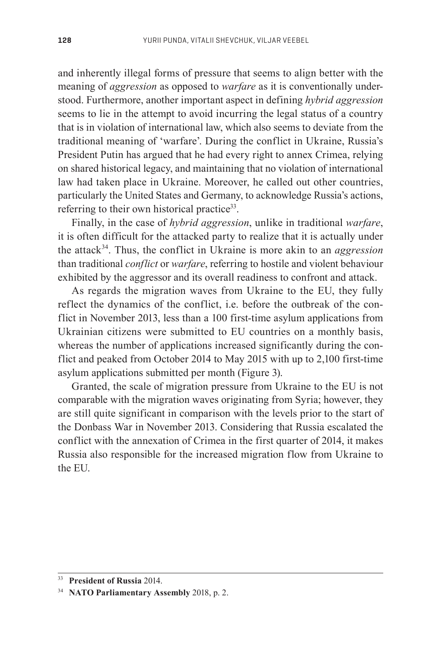and inherently illegal forms of pressure that seems to align better with the meaning of *aggression* as opposed to *warfare* as it is conventionally understood. Furthermore, another important aspect in defining *hybrid aggression* seems to lie in the attempt to avoid incurring the legal status of a country that is in violation of international law, which also seems to deviate from the traditional meaning of 'warfare'. During the conflict in Ukraine, Russia's President Putin has argued that he had every right to annex Crimea, relying on shared historical legacy, and maintaining that no violation of international law had taken place in Ukraine. Moreover, he called out other countries, particularly the United States and Germany, to acknowledge Russia's actions, referring to their own historical practice<sup>33</sup>.

Finally, in the case of *hybrid aggression*, unlike in traditional *warfare*, it is often difficult for the attacked party to realize that it is actually under the attack34. Thus, the conflict in Ukraine is more akin to an *aggression* than traditional *conflict* or *warfare*, referring to hostile and violent behaviour exhibited by the aggressor and its overall readiness to confront and attack.

As regards the migration waves from Ukraine to the EU, they fully reflect the dynamics of the conflict, i.e. before the outbreak of the conflict in November 2013, less than a 100 first-time asylum applications from Ukrainian citizens were submitted to EU countries on a monthly basis, whereas the number of applications increased significantly during the conflict and peaked from October 2014 to May 2015 with up to 2,100 first-time asylum applications submitted per month (Figure 3).

Granted, the scale of migration pressure from Ukraine to the EU is not comparable with the migration waves originating from Syria; however, they are still quite significant in comparison with the levels prior to the start of the Donbass War in November 2013. Considering that Russia escalated the conflict with the annexation of Crimea in the first quarter of 2014, it makes Russia also responsible for the increased migration flow from Ukraine to the EU.

<sup>33</sup>**President of Russia** 2014.

<sup>34</sup> **NATO Parliamentary Assembly** 2018, p. 2.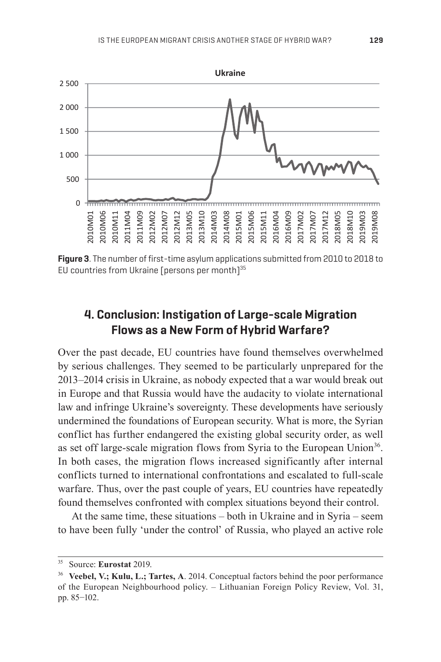

**Figure 3**. The number of first-time asylum applications submitted from 2010 to 2018 to EU countries from Ukraine [persons per month] $35$ 

### **4. Conclusion: Instigation of Large-scale Migration Flows as a New Form of Hybrid Warfare?**

Over the past decade, EU countries have found themselves overwhelmed by serious challenges. They seemed to be particularly unprepared for the 2013–2014 crisis in Ukraine, as nobody expected that a war would break out in Europe and that Russia would have the audacity to violate international law and infringe Ukraine's sovereignty. These developments have seriously undermined the foundations of European security. What is more, the Syrian conflict has further endangered the existing global security order, as well as set off large-scale migration flows from Syria to the European Union<sup>36</sup>. In both cases, the migration flows increased significantly after internal conflicts turned to international confrontations and escalated to full-scale warfare. Thus, over the past couple of years, EU countries have repeatedly found themselves confronted with complex situations beyond their control.

At the same time, these situations – both in Ukraine and in Syria – seem to have been fully 'under the control' of Russia, who played an active role

<sup>35</sup> Source: **Eurostat** 2019.

<sup>&</sup>lt;sup>36</sup> Veebel, V.; Kulu, L.; Tartes, A. 2014. Conceptual factors behind the poor performance of the European Neighbourhood policy. – Lithuanian Foreign Policy Review, Vol. 31, pp. 85−102.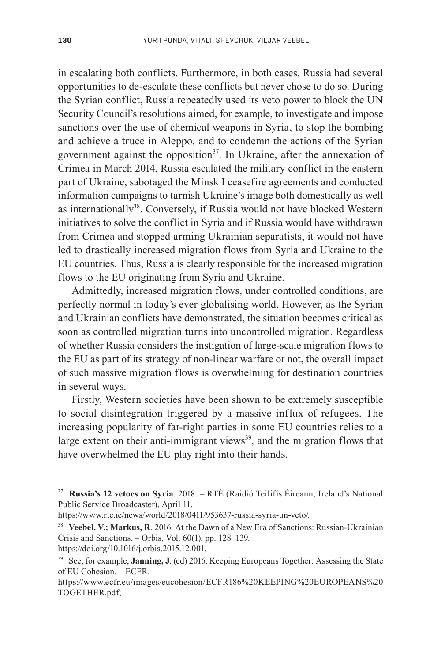in escalating both conflicts. Furthermore, in both cases, Russia had several opportunities to de-escalate these conflicts but never chose to do so. During the Syrian conflict, Russia repeatedly used its veto power to block the UN Security Council's resolutions aimed, for example, to investigate and impose sanctions over the use of chemical weapons in Syria, to stop the bombing and achieve a truce in Aleppo, and to condemn the actions of the Syrian government against the opposition<sup>37</sup>. In Ukraine, after the annexation of Crimea in March 2014, Russia escalated the military conflict in the eastern part of Ukraine, sabotaged the Minsk I ceasefire agreements and conducted information campaigns to tarnish Ukraine's image both domestically as well as internationally<sup>38</sup>. Conversely, if Russia would not have blocked Western initiatives to solve the conflict in Syria and if Russia would have withdrawn from Crimea and stopped arming Ukrainian separatists, it would not have led to drastically increased migration flows from Syria and Ukraine to the EU countries. Thus, Russia is clearly responsible for the increased migration flows to the EU originating from Syria and Ukraine.

Admittedly, increased migration flows, under controlled conditions, are perfectly normal in today's ever globalising world. However, as the Syrian and Ukrainian conflicts have demonstrated, the situation becomes critical as soon as controlled migration turns into uncontrolled migration. Regardless of whether Russia considers the instigation of large-scale migration flows to the EU as part of its strategy of non-linear warfare or not, the overall impact of such massive migration flows is overwhelming for destination countries in several ways.

Firstly, Western societies have been shown to be extremely susceptible to social disintegration triggered by a massive influx of refugees. The increasing popularity of far-right parties in some EU countries relies to a large extent on their anti-immigrant views<sup>39</sup>, and the migration flows that have overwhelmed the EU play right into their hands.

<sup>37</sup>**Russia's 12 vetoes on Syria**. 2018. – RTÉ (Raidió Teilifís Éireann, Ireland's National Public Service Broadcaster), April 11.

https://www.rte.ie/news/world/2018/0411/953637-russia-syria-un-veto/.

<sup>&</sup>lt;sup>38</sup> Veebel, V.; Markus, R. 2016. At the Dawn of a New Era of Sanctions: Russian-Ukrainian Crisis and Sanctions. – Orbis, Vol.  $60(1)$ , pp. 128–139.

https://doi.org/10.1016/j.orbis.2015.12.001.

<sup>39</sup> See, for example, **Janning, J**. (ed) 2016. Keeping Europeans Together: Assessing the State of EU Cohesion. – ECFR.

https://www.ecfr.eu/images/eucohesion/ECFR186%20KEEPING%20EUROPEANS%20 TOGETHER.pdf;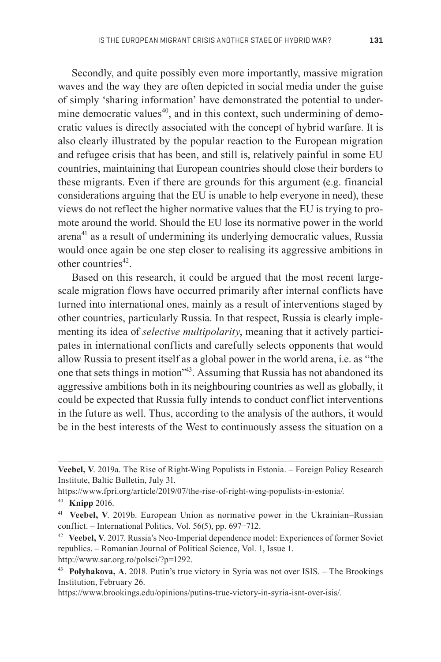Secondly, and quite possibly even more importantly, massive migration waves and the way they are often depicted in social media under the guise of simply 'sharing information' have demonstrated the potential to undermine democratic values $40$ , and in this context, such undermining of democratic values is directly associated with the concept of hybrid warfare. It is also clearly illustrated by the popular reaction to the European migration and refugee crisis that has been, and still is, relatively painful in some EU countries, maintaining that European countries should close their borders to these migrants. Even if there are grounds for this argument (e.g. financial considerations arguing that the EU is unable to help everyone in need), these views do not reflect the higher normative values that the EU is trying to promote around the world. Should the EU lose its normative power in the world arena<sup>41</sup> as a result of undermining its underlying democratic values, Russia would once again be one step closer to realising its aggressive ambitions in other countries<sup>42</sup>

Based on this research, it could be argued that the most recent largescale migration flows have occurred primarily after internal conflicts have turned into international ones, mainly as a result of interventions staged by other countries, particularly Russia. In that respect, Russia is clearly implementing its idea of *selective multipolarity*, meaning that it actively participates in international conflicts and carefully selects opponents that would allow Russia to present itself as a global power in the world arena, i.e. as "the one that sets things in motion"<sup>43</sup>. Assuming that Russia has not abandoned its aggressive ambitions both in its neighbouring countries as well as globally, it could be expected that Russia fully intends to conduct conflict interventions in the future as well. Thus, according to the analysis of the authors, it would be in the best interests of the West to continuously assess the situation on a

**Veebel, V**. 2019a. The Rise of Right-Wing Populists in Estonia. – Foreign Policy Research Institute, Baltic Bulletin, July 31.

https://www.fpri.org/article/2019/07/the-rise-of-right-wing-populists-in-estonia/.

<sup>40</sup>**Knipp** 2016.

**Veebel, V.** 2019b. European Union as normative power in the Ukrainian–Russian conflict. – International Politics, Vol. 56(5), pp. 697−712.

<sup>42</sup>**Veebel, V**. 2017. Russia's Neo-Imperial dependence model: Experiences of former Soviet republics. – Romanian Journal of Political Science, Vol. 1, Issue 1. http://www.sar.org.ro/polsci/?p=1292.

<sup>43</sup>**Polyhakova, A**. 2018. Putin's true victory in Syria was not over ISIS. – The Brookings Institution, February 26.

https://www.brookings.edu/opinions/putins-true-victory-in-syria-isnt-over-isis/.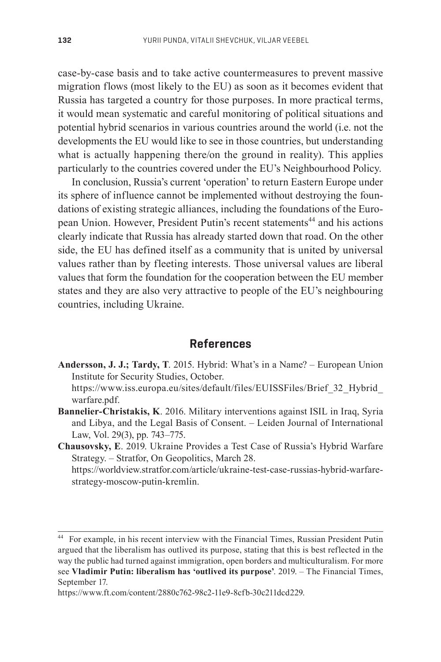case-by-case basis and to take active countermeasures to prevent massive migration flows (most likely to the EU) as soon as it becomes evident that Russia has targeted a country for those purposes. In more practical terms, it would mean systematic and careful monitoring of political situations and potential hybrid scenarios in various countries around the world (i.e. not the developments the EU would like to see in those countries, but understanding what is actually happening there/on the ground in reality). This applies particularly to the countries covered under the EU's Neighbourhood Policy.

In conclusion, Russia's current 'operation' to return Eastern Europe under its sphere of influence cannot be implemented without destroying the foundations of existing strategic alliances, including the foundations of the European Union. However, President Putin's recent statements<sup>44</sup> and his actions clearly indicate that Russia has already started down that road. On the other side, the EU has defined itself as a community that is united by universal values rather than by fleeting interests. Those universal values are liberal values that form the foundation for the cooperation between the EU member states and they are also very attractive to people of the EU's neighbouring countries, including Ukraine.

### **References**

**Andersson, J. J.; Tardy, T**. 2015. Hybrid: What's in a Name? – European Union Institute for Security Studies, October.

 https://www.iss.europa.eu/sites/default/files/EUISSFiles/Brief\_32\_Hybrid\_ warfare.pdf.

- **Bannelier-Christakis, K**. 2016. Military interventions against ISIL in Iraq, Syria and Libya, and the Legal Basis of Consent. – Leiden Journal of International Law, Vol. 29(3), pp. 743–775.
- **Chausovsky, E**. 2019. Ukraine Provides a Test Case of Russia's Hybrid Warfare Strategy. – Stratfor, On Geopolitics, March 28.

 https://worldview.stratfor.com/article/ukraine-test-case-russias-hybrid-warfarestrategy-moscow-putin-kremlin.

<sup>44</sup> For example, in his recent interview with the Financial Times, Russian President Putin argued that the liberalism has outlived its purpose, stating that this is best reflected in the way the public had turned against immigration, open borders and multiculturalism. For more see **Vladimir Putin: liberalism has 'outlived its purpose'**. 2019. – The Financial Times, September 17.

https://www.ft.com/content/2880c762-98c2-11e9-8cfb-30c211dcd229.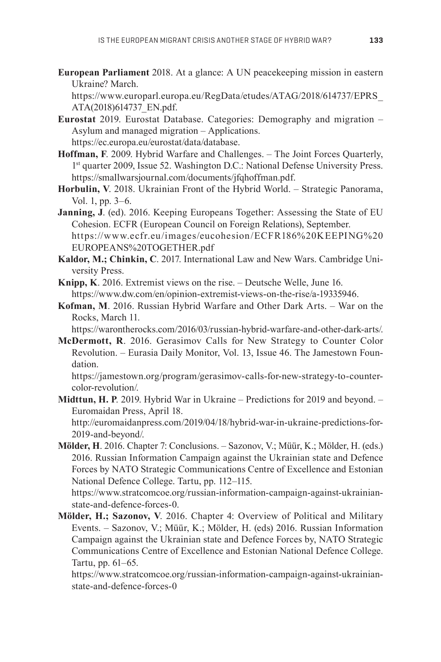**European Parliament** 2018. At a glance: A UN peacekeeping mission in eastern Ukraine? March.

 https://www.europarl.europa.eu/RegData/etudes/ATAG/2018/614737/EPRS\_ ATA(2018)614737\_EN.pdf.

- **Eurostat** 2019. Eurostat Database. Categories: Demography and migration Asylum and managed migration – Applications. https://ec.europa.eu/eurostat/data/database.
- **Hoffman, F**. 2009. Hybrid Warfare and Challenges. The Joint Forces Quarterly, 1<sup>st</sup> quarter 2009, Issue 52. Washington D.C.: National Defense University Press. https://smallwarsjournal.com/documents/jfqhoffman.pdf.
- **Horbulin, V**. 2018. Ukrainian Front of the Hybrid World. Strategic Panorama, Vol. 1, pp. 3–6.
- **Janning, J**. (ed). 2016. Keeping Europeans Together: Assessing the State of EU Cohesion. ECFR (European Council on Foreign Relations), September. https://www.ecfr.eu/images/eucohesion/ECFR186%20KEEPING%20 EUROPEANS%20TOGETHER.pdf
- **Kaldor, M.; Chinkin, C**. 2017. International Law and New Wars. Cambridge University Press.
- **Knipp, K**. 2016. Extremist views on the rise. Deutsche Welle, June 16. https://www.dw.com/en/opinion-extremist-views-on-the-rise/a-19335946.
- **Kofman, M**. 2016. Russian Hybrid Warfare and Other Dark Arts. War on the Rocks, March 11.
- https://warontherocks.com/2016/03/russian-hybrid-warfare-and-other-dark-arts/. **McDermott, R**. 2016. Gerasimov Calls for New Strategy to Counter Color Revolution. – Eurasia Daily Monitor, Vol. 13, Issue 46. The Jamestown Foun dation.

 https://jamestown.org/program/gerasimov-calls-for-new-strategy-to-countercolor-revolution/.

**Midttun, H. P**. 2019. Hybrid War in Ukraine – Predictions for 2019 and beyond. – Euromaidan Press, April 18. http://euromaidanpress.com/2019/04/18/hybrid-war-in-ukraine-predictions-for-

2019-and-beyond/.

**Mölder, H**. 2016. Chapter 7: Conclusions. – Sazonov, V.; Müür, K.; Mölder, H. (eds.) 2016. Russian Information Campaign against the Ukrainian state and Defence Forces by NATO Strategic Communications Centre of Excellence and Estonian National Defence College. Tartu, pp. 112–115.

 https://www.stratcomcoe.org/russian-information-campaign-against-ukrainianstate-and-defence-forces-0.

**Mölder, H.; Sazonov, V**. 2016. Chapter 4: Overview of Political and Military Events. – Sazonov, V.; Müür, K.; Mölder, H. (eds) 2016. Russian Information Campaign against the Ukrainian state and Defence Forces by, NATO Strategic Communications Centre of Excellence and Estonian National Defence College. Tartu, pp. 61–65.

 https://www.stratcomcoe.org/russian-information-campaign-against-ukrainianstate-and-defence-forces-0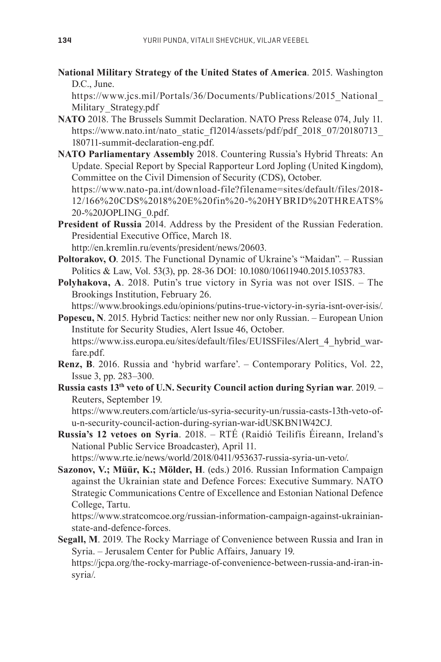**National Military Strategy of the United States of America**. 2015. Washington D.C., June.

 https://www.jcs.mil/Portals/36/Documents/Publications/2015\_National\_ Military\_Strategy.pdf

- **NATO** 2018. The Brussels Summit Declaration. NATO Press Release 074, July 11. https://www.nato.int/nato\_static\_fl2014/assets/pdf/pdf\_2018\_07/20180713 180711-summit-declaration-eng.pdf.
- **NATO Parliamentary Assembly** 2018. Countering Russia's Hybrid Threats: An Update. Special Report by Special Rapporteur Lord Jopling (United Kingdom), Committee on the Civil Dimension of Security (CDS), October. https://www.nato-pa.int/download-file?filename=sites/default/files/2018- 12/166%20CDS%2018%20E%20fin%20-%20HYBRID%20THREATS%

20-%20JOPLING\_0.pdf. **President of Russia** 2014. Address by the President of the Russian Federation. Presidential Executive Office, March 18.

http://en.kremlin.ru/events/president/news/20603.

- **Poltorakov, O**. 2015. The Functional Dynamic of Ukraine's "Maidan". Russian Politics & Law, Vol. 53(3), pp. 28-36 DOI: 10.1080/10611940.2015.1053783.
- **Polyhakova, A**. 2018. Putin's true victory in Syria was not over ISIS. The Brookings Institution, February 26.

https://www.brookings.edu/opinions/putins-true-victory-in-syria-isnt-over-isis/.

**Popescu, N**. 2015. Hybrid Tactics: neither new nor only Russian. – European Union Institute for Security Studies, Alert Issue 46, October. https://www.iss.europa.eu/sites/default/files/EUISSFiles/Alert\_4\_hybrid\_warfare.pdf.

- **Renz, B**. 2016. Russia and 'hybrid warfare'. Contemporary Politics, Vol. 22, Issue 3, pp. 283–300.
- **Russia casts 13th veto of U.N. Security Council action during Syrian war**. 2019. Reuters, September 19.

 https://www.reuters.com/article/us-syria-security-un/russia-casts-13th-veto-ofu-n-security-council-action-during-syrian-war-idUSKBN1W42CJ.

**Russia's 12 vetoes on Syria**. 2018. – RTÉ (Raidió Teilifís Éireann, Ireland's National Public Service Broadcaster), April 11. https://www.rte.ie/news/world/2018/0411/953637-russia-syria-un-veto/.

**Sazonov, V.; Müür, K.; Mölder, H**. (eds.) 2016. Russian Information Campaign against the Ukrainian state and Defence Forces: Executive Summary. NATO

Strategic Communications Centre of Excellence and Estonian National Defence College, Tartu.

 https://www.stratcomcoe.org/russian-information-campaign-against-ukrainianstate-and-defence-forces.

**Segall, M**. 2019. The Rocky Marriage of Convenience between Russia and Iran in Syria. – Jerusalem Center for Public Affairs, January 19.

 https://jcpa.org/the-rocky-marriage-of-convenience-between-russia-and-iran-insyria/.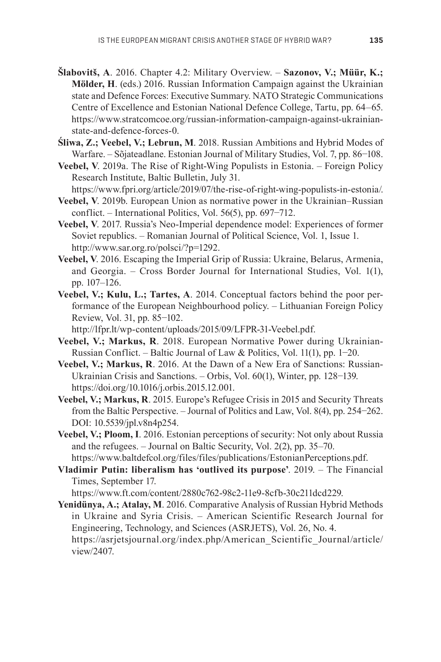- **Šlabovitš, A**. 2016. Chapter 4.2: Military Overview. **Sazonov, V.; Müür, K.; Mölder, H**. (eds.) 2016. Russian Information Campaign against the Ukrainian state and Defence Forces: Executive Summary. NATO Strategic Communications Centre of Excellence and Estonian National Defence College, Tartu, pp. 64–65. https://www.stratcomcoe.org/russian-information-campaign-against-ukrainianstate-and-defence-forces-0.
- **Śliwa, Z.; Veebel, V.; Lebrun, M**. 2018. Russian Ambitions and Hybrid Modes of Warfare. – Sõjateadlane. Estonian Journal of Military Studies, Vol. 7, pp. 86−108.
- **Veebel, V**. 2019a. The Rise of Right-Wing Populists in Estonia. Foreign Policy Research Institute, Baltic Bulletin, July 31. https://www.fpri.org/article/2019/07/the-rise-of-right-wing-populists-in-estonia/.
- **Veebel, V**. 2019b. European Union as normative power in the Ukrainian–Russian conflict. – International Politics, Vol. 56(5), pp. 697−712.
- **Veebel, V**. 2017. Russia's Neo-Imperial dependence model: Experiences of former Soviet republics. – Romanian Journal of Political Science, Vol. 1, Issue 1. http://www.sar.org.ro/polsci/?p=1292.
- **Veebel, V**. 2016. Escaping the Imperial Grip of Russia: Ukraine, Belarus, Armenia, and Georgia. – Cross Border Journal for International Studies, Vol. 1(1), pp. 107–126.
- **Veebel, V.; Kulu, L.; Tartes, A**. 2014. Conceptual factors behind the poor performance of the European Neighbourhood policy. – Lithuanian Foreign Policy Review, Vol. 31, pp. 85−102.

http://lfpr.lt/wp-content/uploads/2015/09/LFPR-31-Veebel.pdf.

- **Veebel, V.; Markus, R**. 2018. European Normative Power during Ukrainian-Russian Conflict. – Baltic Journal of Law & Politics, Vol. 11(1), pp. 1−20.
- **Veebel, V.; Markus, R**. 2016. At the Dawn of a New Era of Sanctions: Russian-Ukrainian Crisis and Sanctions. – Orbis, Vol. 60(1), Winter, pp. 128−139. https://doi.org/10.1016/j.orbis.2015.12.001.
- **Veebel, V.; Markus, R**. 2015. Europe's Refugee Crisis in 2015 and Security Threats from the Baltic Perspective. – Journal of Politics and Law, Vol. 8(4), pp. 254−262. DOI: 10.5539/jpl.v8n4p254.
- **Veebel, V.; Ploom, I**. 2016. Estonian perceptions of security: Not only about Russia and the refugees. – Journal on Baltic Security, Vol. 2(2), pp. 35–70. https://www.baltdefcol.org/files/files/publications/EstonianPerceptions.pdf.
- **Vladimir Putin: liberalism has 'outlived its purpose'**. 2019. The Financial Times, September 17.

https://www.ft.com/content/2880c762-98c2-11e9-8cfb-30c211dcd229.

**Yenidünya, A.; Atalay, M**. 2016. Comparative Analysis of Russian Hybrid Methods in Ukraine and Syria Crisis. – American Scientific Research Journal for Engineering, Technology, and Sciences (ASRJETS), Vol. 26, No. 4. https://asrjetsjournal.org/index.php/American\_Scientific\_Journal/article/ view/2407.